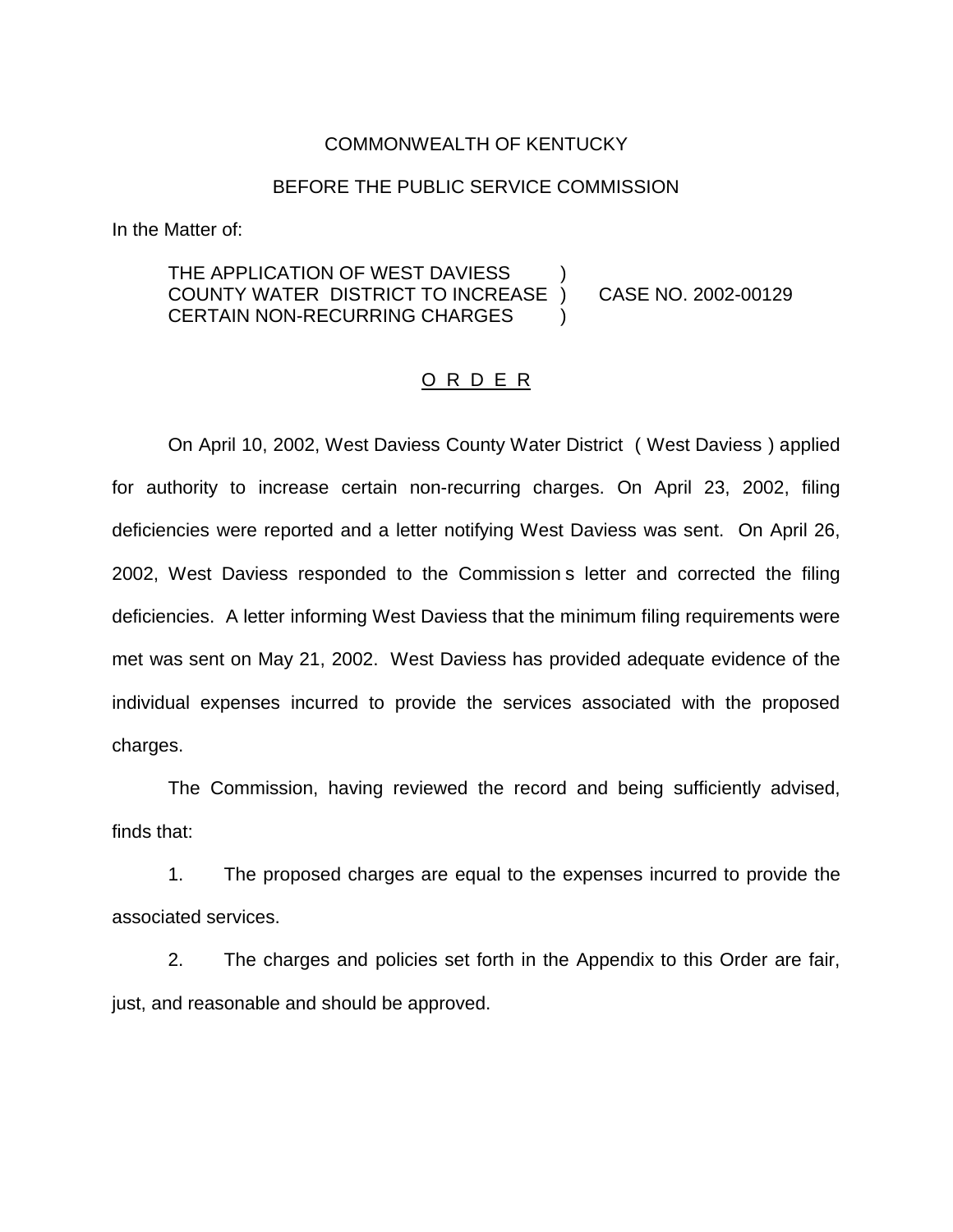### COMMONWEALTH OF KENTUCKY

#### BEFORE THE PUBLIC SERVICE COMMISSION

In the Matter of:

## THE APPLICATION OF WEST DAVIESS COUNTY WATER DISTRICT TO INCREASE ) CASE NO. 2002-00129 CERTAIN NON-RECURRING CHARGES

#### O R D E R

On April 10, 2002, West Daviess County Water District ( West Daviess ) applied for authority to increase certain non-recurring charges. On April 23, 2002, filing deficiencies were reported and a letter notifying West Daviess was sent. On April 26, 2002, West Daviess responded to the Commission s letter and corrected the filing deficiencies. A letter informing West Daviess that the minimum filing requirements were met was sent on May 21, 2002. West Daviess has provided adequate evidence of the individual expenses incurred to provide the services associated with the proposed charges.

The Commission, having reviewed the record and being sufficiently advised, finds that:

1. The proposed charges are equal to the expenses incurred to provide the associated services.

2. The charges and policies set forth in the Appendix to this Order are fair, just, and reasonable and should be approved.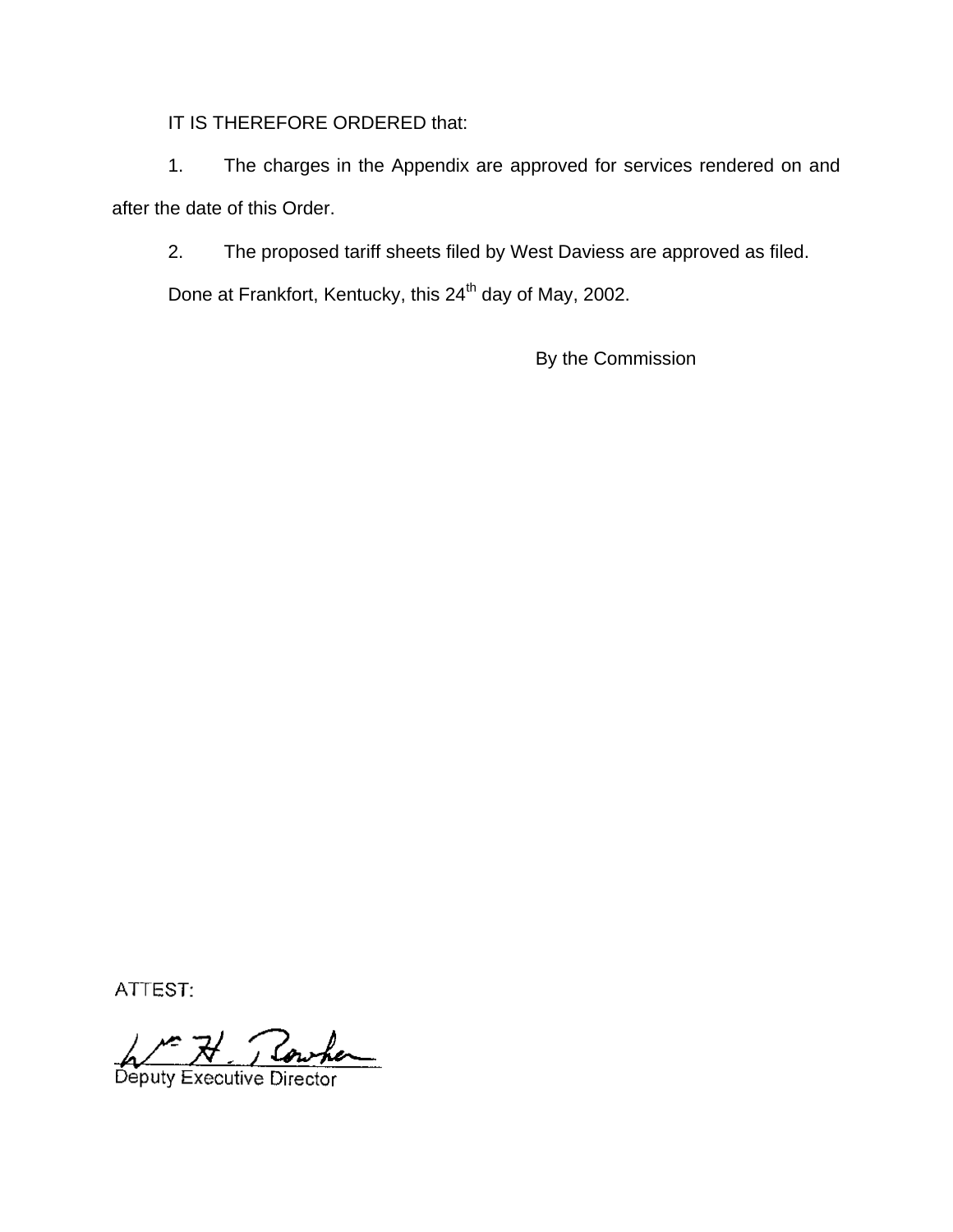IT IS THEREFORE ORDERED that:

1. The charges in the Appendix are approved for services rendered on and after the date of this Order.

2. The proposed tariff sheets filed by West Daviess are approved as filed.

Done at Frankfort, Kentucky, this 24<sup>th</sup> day of May, 2002.

By the Commission

ATTEST:

Rowhen Deputy Executive Director